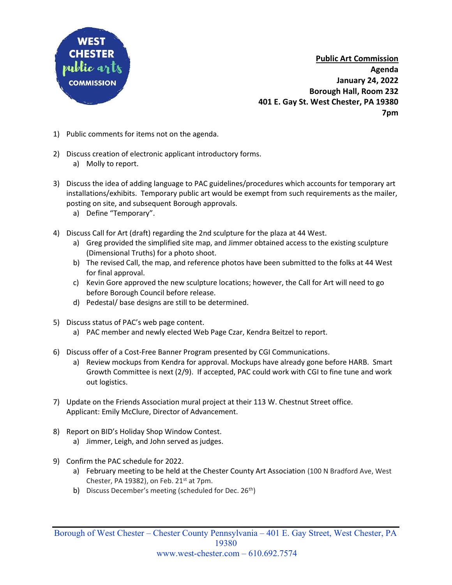

Public Art Commission Agenda January 24, 2022 Borough Hall, Room 232 401 E. Gay St. West Chester, PA 19380 7pm

- 1) Public comments for items not on the agenda.
- 2) Discuss creation of electronic applicant introductory forms. a) Molly to report.
- 3) Discuss the idea of adding language to PAC guidelines/procedures which accounts for temporary art installations/exhibits. Temporary public art would be exempt from such requirements as the mailer, posting on site, and subsequent Borough approvals.
	- a) Define "Temporary".
- 4) Discuss Call for Art (draft) regarding the 2nd sculpture for the plaza at 44 West.
	- a) Greg provided the simplified site map, and Jimmer obtained access to the existing sculpture (Dimensional Truths) for a photo shoot.
	- b) The revised Call, the map, and reference photos have been submitted to the folks at 44 West for final approval.
	- c) Kevin Gore approved the new sculpture locations; however, the Call for Art will need to go before Borough Council before release.
	- d) Pedestal/ base designs are still to be determined.
- 5) Discuss status of PAC's web page content.
	- a) PAC member and newly elected Web Page Czar, Kendra Beitzel to report.
- 6) Discuss offer of a Cost-Free Banner Program presented by CGI Communications.
	- a) Review mockups from Kendra for approval. Mockups have already gone before HARB. Smart Growth Committee is next (2/9). If accepted, PAC could work with CGI to fine tune and work out logistics.
- 7) Update on the Friends Association mural project at their 113 W. Chestnut Street office. Applicant: Emily McClure, Director of Advancement.
- 8) Report on BID's Holiday Shop Window Contest.
	- a) Jimmer, Leigh, and John served as judges.
- 9) Confirm the PAC schedule for 2022.
	- a) February meeting to be held at the Chester County Art Association (100 N Bradford Ave, West Chester, PA 19382), on Feb.  $21<sup>st</sup>$  at 7pm.
	- b) Discuss December's meeting (scheduled for Dec. 26<sup>th</sup>)